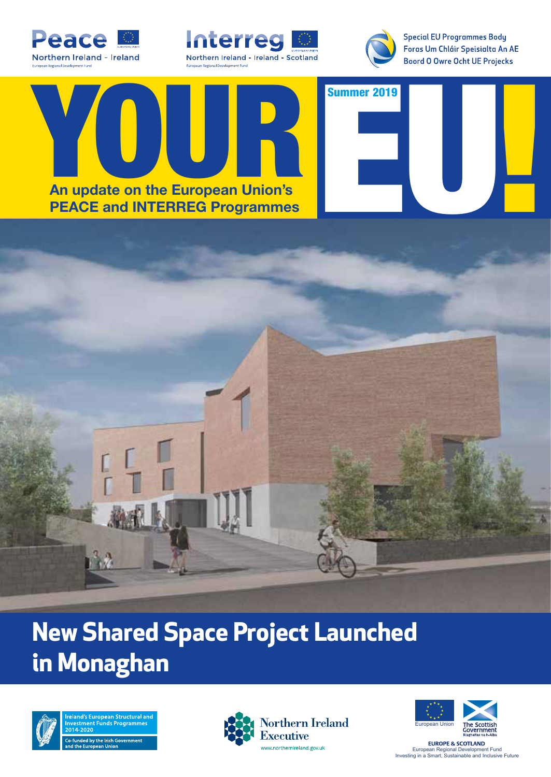





**Special EU Programmes Body** Foras Um Chláir Speisialta An AE **Boord O Owre Ocht UE Projecks** 





## **New Shared Space Project Launched in Monaghan**



**Structural ar**  $\frac{1}{200}$  Co-funded by the Irish Government





**EUROPE & SCOTLAND** European Regional Development Fund Investing in a Smart, Sustainable and Inclusive Future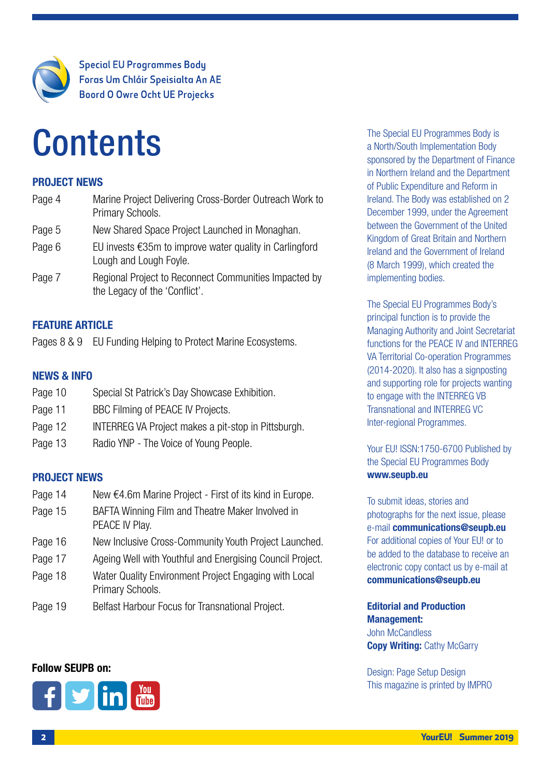

**Special EU Programmes Body** Foras Um Chláir Speisialta An AE **Boord O Owre Ocht UE Projecks** 

## **Contents**

#### PROJECT NEWS

| Page 4 | Marine Project Delivering Cross-Border Outreach Work to<br>Primary Schools.                 |
|--------|---------------------------------------------------------------------------------------------|
| Page 5 | New Shared Space Project Launched in Monaghan.                                              |
| Page 6 | EU invests $\epsilon$ 35m to improve water quality in Carlingford<br>Lough and Lough Foyle. |
| Page 7 | Regional Project to Reconnect Communities Impacted by<br>the Legacy of the 'Conflict'.      |

#### FEATURE ARTICLE

Pages 8 & 9 EU Funding Helping to Protect Marine Ecosystems.

#### NEWS & INFO

- Page 10 Special St Patrick's Day Showcase Exhibition.
- Page 11 BBC Filming of PEACE IV Projects.
- Page 12 **INTERREG VA Project makes a pit-stop in Pittsburgh.**
- Page 13 Radio YNP The Voice of Young People.

#### PROJECT NEWS

| Page 14 | New €4.6m Marine Project - First of its kind in Europe. |
|---------|---------------------------------------------------------|
|---------|---------------------------------------------------------|

- Page 15 BAFTA Winning Film and Theatre Maker Involved in PEACE IV Play.
- Page 16 New Inclusive Cross-Community Youth Project Launched.
- Page 17 Ageing Well with Youthful and Energising Council Project.
- Page 18 Water Quality Environment Project Engaging with Local Primary Schools.
- Page 19 Belfast Harbour Focus for Transnational Project.

#### Follow SEUPB on:



The Special EU Programmes Body is a North/South Implementation Body sponsored by the Department of Finance in Northern Ireland and the Department of Public Expenditure and Reform in Ireland. The Body was established on 2 December 1999, under the Agreement between the Government of the United Kingdom of Great Britain and Northern Ireland and the Government of Ireland (8 March 1999), which created the implementing bodies.

The Special EU Programmes Body's principal function is to provide the Managing Authority and Joint Secretariat functions for the PEACE IV and INTERREG VA Territorial Co-operation Programmes (2014-2020). It also has a signposting and supporting role for projects wanting to engage with the INTERREG VB Transnational and INTERREG VC Inter-regional Programmes.

Your EU! ISSN:1750-6700 Published by the Special EU Programmes Body www.seupb.eu

To submit ideas, stories and photographs for the next issue, please e-mail communications@seupb.eu For additional copies of Your EU! or to be added to the database to receive an electronic copy contact us by e-mail at communications@seupb.eu

#### Editorial and Production Management: John McCandless **Copy Writing: Cathy McGarry**

Design: Page Setup Design This magazine is printed by IMPRO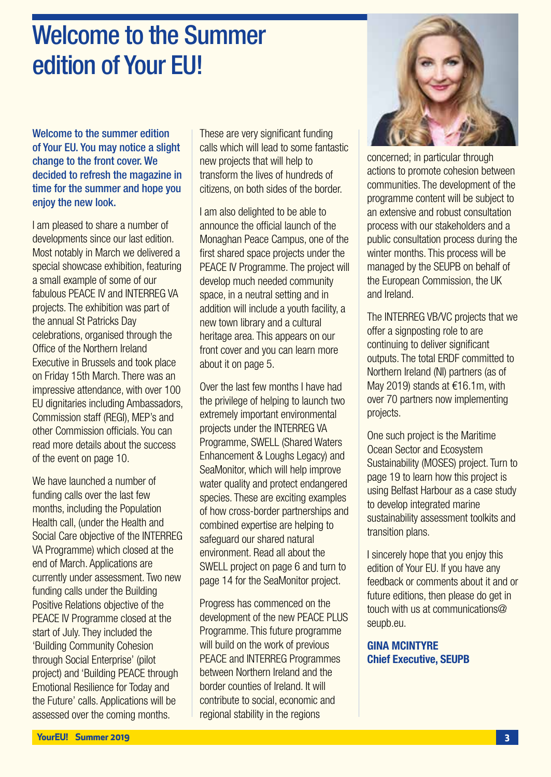## Welcome to the Summer edition of Your EU!

Welcome to the summer edition of Your EU. You may notice a slight change to the front cover. We decided to refresh the magazine in time for the summer and hope you enjoy the new look.

I am pleased to share a number of developments since our last edition. Most notably in March we delivered a special showcase exhibition, featuring a small example of some of our fabulous PEACE IV and INTERREG VA projects. The exhibition was part of the annual St Patricks Day celebrations, organised through the Office of the Northern Ireland Executive in Brussels and took place on Friday 15th March. There was an impressive attendance, with over 100 EU dignitaries including Ambassadors, Commission staff (REGI), MEP's and other Commission officials. You can read more details about the success of the event on page 10.

We have launched a number of funding calls over the last few months, including the Population Health call, (under the Health and Social Care objective of the INTERREG VA Programme) which closed at the end of March. Applications are currently under assessment. Two new funding calls under the Building Positive Relations objective of the PEACE IV Programme closed at the start of July. They included the 'Building Community Cohesion through Social Enterprise' (pilot project) and 'Building PEACE through Emotional Resilience for Today and the Future' calls. Applications will be assessed over the coming months.

These are very significant funding calls which will lead to some fantastic new projects that will help to transform the lives of hundreds of citizens, on both sides of the border.

I am also delighted to be able to announce the official launch of the Monaghan Peace Campus, one of the first shared space projects under the PEACE IV Programme. The project will develop much needed community space, in a neutral setting and in addition will include a youth facility, a new town library and a cultural heritage area. This appears on our front cover and you can learn more about it on page 5.

Over the last few months I have had the privilege of helping to launch two extremely important environmental projects under the INTERREG VA Programme, SWELL (Shared Waters Enhancement & Loughs Legacy) and SeaMonitor, which will help improve water quality and protect endangered species. These are exciting examples of how cross-border partnerships and combined expertise are helping to safeguard our shared natural environment. Read all about the SWELL project on page 6 and turn to page 14 for the SeaMonitor project.

Progress has commenced on the development of the new PEACE PLUS Programme. This future programme will build on the work of previous PEACE and INTERREG Programmes between Northern Ireland and the border counties of Ireland. It will contribute to social, economic and regional stability in the regions



concerned; in particular through actions to promote cohesion between communities. The development of the programme content will be subject to an extensive and robust consultation process with our stakeholders and a public consultation process during the winter months. This process will be managed by the SEUPB on behalf of the European Commission, the UK and Ireland.

The INTERREG VB/VC projects that we offer a signposting role to are continuing to deliver significant outputs. The total ERDF committed to Northern Ireland (NI) partners (as of May 2019) stands at €16.1m, with over 70 partners now implementing projects.

One such project is the Maritime Ocean Sector and Ecosystem Sustainability (MOSES) project. Turn to page 19 to learn how this project is using Belfast Harbour as a case study to develop integrated marine sustainability assessment toolkits and transition plans.

I sincerely hope that you enjoy this edition of Your EU. If you have any feedback or comments about it and or future editions, then please do get in touch with us at communications@ seupb.eu.

GINA MCINTYRE Chief Executive, SEUPB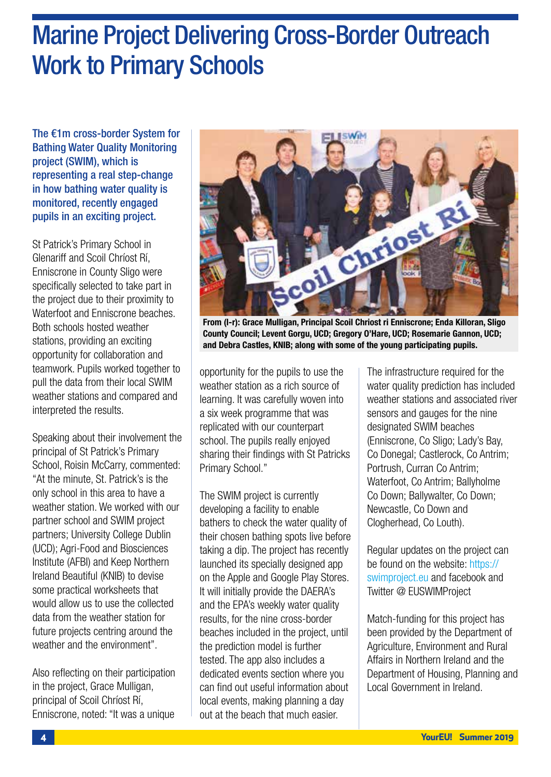## Marine Project Delivering Cross-Border Outreach Work to Primary Schools

The €1m cross-border System for Bathing Water Quality Monitoring project (SWIM), which is representing a real step-change in how bathing water quality is monitored, recently engaged pupils in an exciting project.

St Patrick's Primary School in Glenariff and Scoil Chríost Rí, Enniscrone in County Sligo were specifically selected to take part in the project due to their proximity to Waterfoot and Enniscrone beaches. Both schools hosted weather stations, providing an exciting opportunity for collaboration and teamwork. Pupils worked together to pull the data from their local SWIM weather stations and compared and interpreted the results.

Speaking about their involvement the principal of St Patrick's Primary School, Roisin McCarry, commented: "At the minute, St. Patrick's is the only school in this area to have a weather station. We worked with our partner school and SWIM project partners; University College Dublin (UCD); Agri-Food and Biosciences Institute (AFBI) and Keep Northern Ireland Beautiful (KNIB) to devise some practical worksheets that would allow us to use the collected data from the weather station for future projects centring around the weather and the environment".

Also reflecting on their participation in the project, Grace Mulligan, principal of Scoil Chríost Rí, Enniscrone, noted: "It was a unique



From (l-r): Grace Mulligan, Principal Scoil Chriost ri Enniscrone; Enda Killoran, Sligo County Council; Levent Gorgu, UCD; Gregory O'Hare, UCD; Rosemarie Gannon, UCD; and Debra Castles, KNIB; along with some of the young participating pupils.

opportunity for the pupils to use the weather station as a rich source of learning. It was carefully woven into a six week programme that was replicated with our counterpart school. The pupils really enjoyed sharing their findings with St Patricks Primary School."

The SWIM project is currently developing a facility to enable bathers to check the water quality of their chosen bathing spots live before taking a dip. The project has recently launched its specially designed app on the Apple and Google Play Stores. It will initially provide the DAERA's and the EPA's weekly water quality results, for the nine cross-border beaches included in the project, until the prediction model is further tested. The app also includes a dedicated events section where you can find out useful information about local events, making planning a day out at the beach that much easier.

The infrastructure required for the water quality prediction has included weather stations and associated river sensors and gauges for the nine designated SWIM beaches (Enniscrone, Co Sligo; Lady's Bay, Co Donegal; Castlerock, Co Antrim; Portrush, Curran Co Antrim; Waterfoot, Co Antrim; Ballyholme Co Down; Ballywalter, Co Down; Newcastle, Co Down and Clogherhead, Co Louth).

Regular updates on the project can be found on the website: https:// swimproject.eu and facebook and Twitter @ EUSWIMProject

Match-funding for this project has been provided by the Department of Agriculture, Environment and Rural Affairs in Northern Ireland and the Department of Housing, Planning and Local Government in Ireland.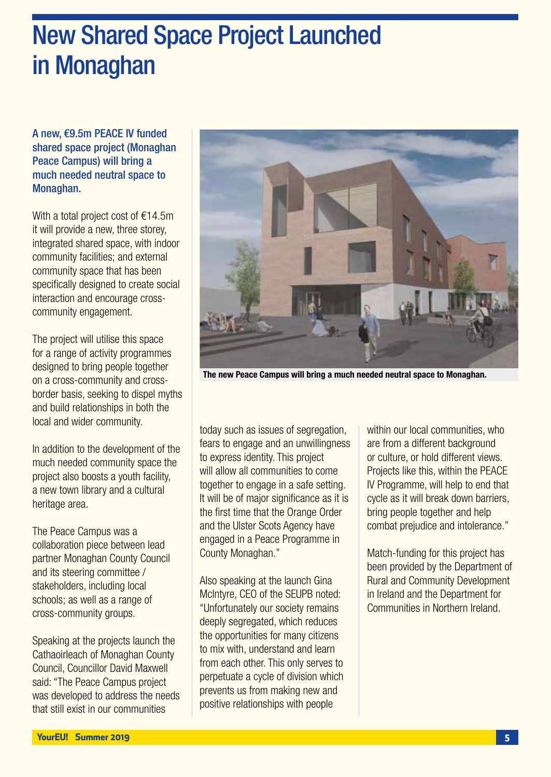## New Shared Space Project Launched in Monaghan

A new, €9.5m PEACE IV funded shared space project (Monaghan Peace Campus) will bring a much needed neutral space to Monaghan.

With a total project cost of €14.5m it will provide a new, three storey, integrated shared space, with indoor community facilities; and external community space that has been specifically designed to create social interaction and encourage crosscommunity engagement.

The project will utilise this space for a range of activity programmes designed to bring people together on a cross-community and crossborder basis, seeking to dispel myths and build relationships in both the local and wider community.

In addition to the development of the much needed community space the project also boosts a youth facility, a new town library and a cultural heritage area.

The Peace Campus was a collaboration piece between lead partner Monaghan County Council and its steering committee / stakeholders, including local schools; as well as a range of cross-community groups.

Speaking at the projects launch the Cathaoirleach of Monaghan County Council, Councillor David Maxwell said: "The Peace Campus project was developed to address the needs that still exist in our communities



The new Peace Campus will bring a much needed neutral space to Monaghan.

today such as issues of segregation, fears to engage and an unwillingness to express identity. This project will allow all communities to come together to engage in a safe setting. It will be of major significance as it is the first time that the Orange Order and the Ulster Scots Agency have engaged in a Peace Programme in County Monaghan."

Also speaking at the launch Gina McIntyre, CEO of the SEUPB noted: "Unfortunately our society remains deeply segregated, which reduces the opportunities for many citizens to mix with, understand and learn from each other. This only serves to perpetuate a cycle of division which prevents us from making new and positive relationships with people

within our local communities, who are from a different background or culture, or hold different views. Projects like this, within the PEACE IV Programme, will help to end that cycle as it will break down barriers, bring people together and help combat prejudice and intolerance."

Match-funding for this project has been provided by the Department of Rural and Community Development in Ireland and the Department for Communities in Northern Ireland.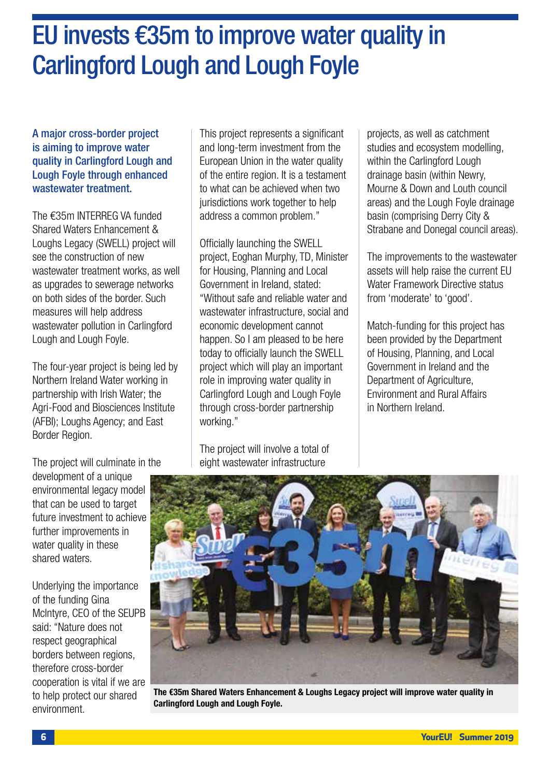## EU invests €35m to improve water quality in Carlingford Lough and Lough Foyle

A major cross-border project is aiming to improve water quality in Carlingford Lough and Lough Foyle through enhanced wastewater treatment.

The €35m INTERREG VA funded Shared Waters Enhancement & Loughs Legacy (SWELL) project will see the construction of new wastewater treatment works, as well as upgrades to sewerage networks on both sides of the border. Such measures will help address wastewater pollution in Carlingford Lough and Lough Foyle.

The four-year project is being led by Northern Ireland Water working in partnership with Irish Water; the Agri-Food and Biosciences Institute (AFBI); Loughs Agency; and East Border Region.

This project represents a significant and long-term investment from the European Union in the water quality of the entire region. It is a testament to what can be achieved when two jurisdictions work together to help address a common problem."

Officially launching the SWELL project, Eoghan Murphy, TD, Minister for Housing, Planning and Local Government in Ireland, stated: "Without safe and reliable water and wastewater infrastructure, social and economic development cannot happen. So I am pleased to be here today to officially launch the SWELL project which will play an important role in improving water quality in Carlingford Lough and Lough Foyle through cross-border partnership working."

The project will involve a total of eight wastewater infrastructure

projects, as well as catchment studies and ecosystem modelling, within the Carlingford Lough drainage basin (within Newry, Mourne & Down and Louth council areas) and the Lough Foyle drainage basin (comprising Derry City & Strabane and Donegal council areas).

The improvements to the wastewater assets will help raise the current EU Water Framework Directive status from 'moderate' to 'good'.

Match-funding for this project has been provided by the Department of Housing, Planning, and Local Government in Ireland and the Department of Agriculture, Environment and Rural Affairs in Northern Ireland.

The project will culminate in the

development of a unique environmental legacy model that can be used to target future investment to achieve further improvements in water quality in these shared waters.

Underlying the importance of the funding Gina McIntyre, CEO of the SEUPB said: "Nature does not respect geographical borders between regions, therefore cross-border cooperation is vital if we are to help protect our shared environment.



The €35m Shared Waters Enhancement & Loughs Legacy project will improve water quality in Carlingford Lough and Lough Foyle.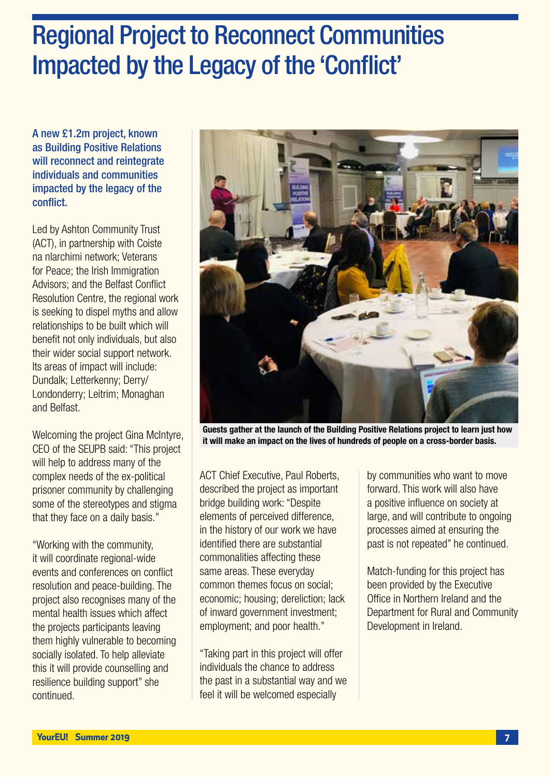## Regional Project to Reconnect Communities Impacted by the Legacy of the 'Conflict'

A new £1.2m project, known as Building Positive Relations will reconnect and reintegrate individuals and communities impacted by the legacy of the conflict.

Led by Ashton Community Trust (ACT), in partnership with Coiste na nlarchimi network; Veterans for Peace; the Irish Immigration Advisors; and the Belfast Conflict Resolution Centre, the regional work is seeking to dispel myths and allow relationships to be built which will benefit not only individuals, but also their wider social support network. Its areas of impact will include: Dundalk; Letterkenny; Derry/ Londonderry; Leitrim; Monaghan and Belfast.

Welcoming the project Gina McIntyre, CEO of the SEUPB said: "This project will help to address many of the complex needs of the ex-political prisoner community by challenging some of the stereotypes and stigma that they face on a daily basis."

"Working with the community, it will coordinate regional-wide events and conferences on conflict resolution and peace-building. The project also recognises many of the mental health issues which affect the projects participants leaving them highly vulnerable to becoming socially isolated. To help alleviate this it will provide counselling and resilience building support" she continued.



Guests gather at the launch of the Building Positive Relations project to learn just how it will make an impact on the lives of hundreds of people on a cross-border basis.

ACT Chief Executive, Paul Roberts, described the project as important bridge building work: "Despite elements of perceived difference, in the history of our work we have identified there are substantial commonalities affecting these same areas. These everyday common themes focus on social; economic; housing; dereliction; lack of inward government investment; employment; and poor health."

"Taking part in this project will offer individuals the chance to address the past in a substantial way and we feel it will be welcomed especially

by communities who want to move forward. This work will also have a positive influence on society at large, and will contribute to ongoing processes aimed at ensuring the past is not repeated" he continued.

Match-funding for this project has been provided by the Executive Office in Northern Ireland and the Department for Rural and Community Development in Ireland.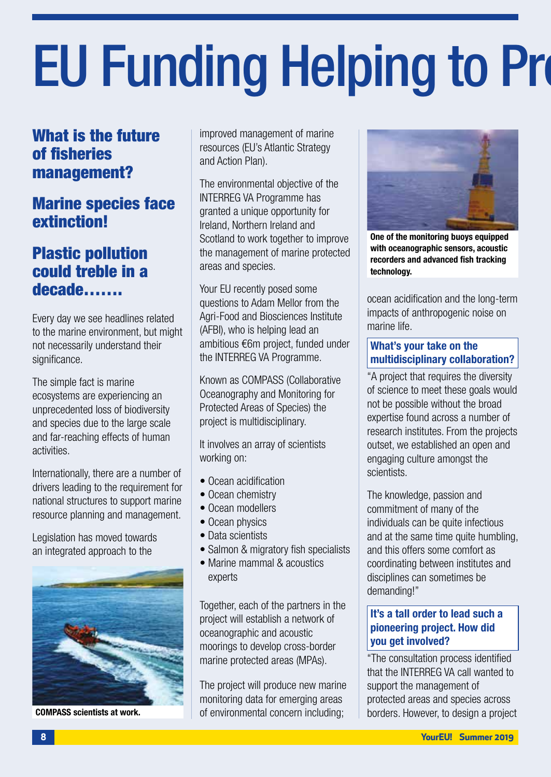# **EU Funding Helping to Pro**

### What is the future of fisheries management?

### Marine species face extinction!

#### Plastic pollution could treble in a decade…….

Every day we see headlines related to the marine environment, but might not necessarily understand their significance.

The simple fact is marine ecosystems are experiencing an unprecedented loss of biodiversity and species due to the large scale and far-reaching effects of human activities.

Internationally, there are a number of drivers leading to the requirement for national structures to support marine resource planning and management.

Legislation has moved towards an integrated approach to the



COMPASS scientists at work.

improved management of marine resources (EU's Atlantic Strategy and Action Plan).

The environmental objective of the INTERREG VA Programme has granted a unique opportunity for Ireland, Northern Ireland and Scotland to work together to improve the management of marine protected areas and species.

Your EU recently posed some questions to Adam Mellor from the Agri-Food and Biosciences Institute (AFBI), who is helping lead an ambitious €6m project, funded under the INTERREG VA Programme.

Known as COMPASS (Collaborative Oceanography and Monitoring for Protected Areas of Species) the project is multidisciplinary.

It involves an array of scientists working on:

- Ocean acidification
- Ocean chemistry
- Ocean modellers
- Ocean physics
- Data scientists
- Salmon & migratory fish specialists
- Marine mammal & acoustics experts

Together, each of the partners in the project will establish a network of oceanographic and acoustic moorings to develop cross-border marine protected areas (MPAs).

The project will produce new marine monitoring data for emerging areas of environmental concern including;



One of the monitoring buoys equipped with oceanographic sensors, acoustic recorders and advanced fish tracking technology.

ocean acidification and the long-term impacts of anthropogenic noise on marine life.

#### What's your take on the multidisciplinary collaboration?

"A project that requires the diversity of science to meet these goals would not be possible without the broad expertise found across a number of research institutes. From the projects outset, we established an open and engaging culture amongst the scientists.

The knowledge, passion and commitment of many of the individuals can be quite infectious and at the same time quite humbling. and this offers some comfort as coordinating between institutes and disciplines can sometimes be demanding!"

#### It's a tall order to lead such a pioneering project. How did you get involved?

"The consultation process identified that the INTERREG VA call wanted to support the management of protected areas and species across borders. However, to design a project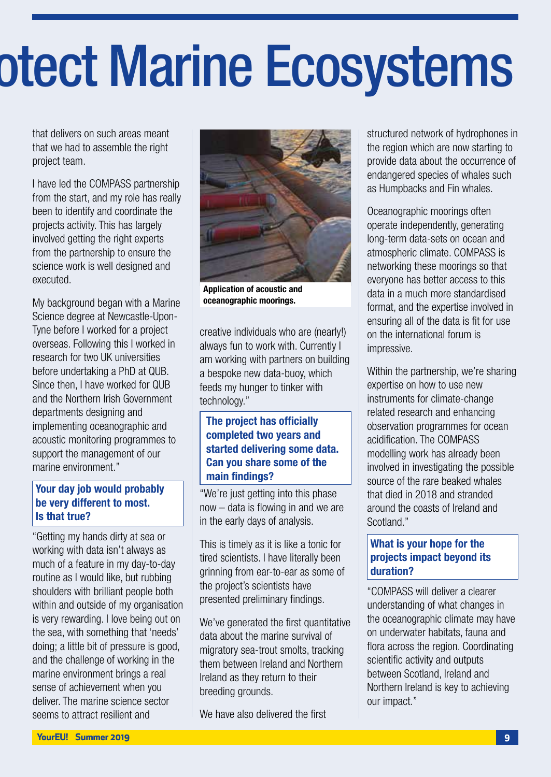## otect Marine Ecosystems

that delivers on such areas meant that we had to assemble the right project team.

I have led the COMPASS partnership from the start, and my role has really been to identify and coordinate the projects activity. This has largely involved getting the right experts from the partnership to ensure the science work is well designed and executed.

My background began with a Marine Science degree at Newcastle-Upon-Tyne before I worked for a project overseas. Following this I worked in research for two UK universities before undertaking a PhD at QUB. Since then, I have worked for QUB and the Northern Irish Government departments designing and implementing oceanographic and acoustic monitoring programmes to support the management of our marine environment."

#### Your day job would probably be very different to most. Is that true?

"Getting my hands dirty at sea or working with data isn't always as much of a feature in my day-to-day routine as I would like, but rubbing shoulders with brilliant people both within and outside of my organisation is very rewarding. I love being out on the sea, with something that 'needs' doing; a little bit of pressure is good, and the challenge of working in the marine environment brings a real sense of achievement when you deliver. The marine science sector seems to attract resilient and



Application of acoustic and oceanographic moorings.

creative individuals who are (nearly!) always fun to work with. Currently I am working with partners on building a bespoke new data-buoy, which feeds my hunger to tinker with technology."

#### The project has officially completed two years and started delivering some data. Can you share some of the main findings?

"We're just getting into this phase now – data is flowing in and we are in the early days of analysis.

This is timely as it is like a tonic for tired scientists. I have literally been grinning from ear-to-ear as some of the project's scientists have presented preliminary findings.

We've generated the first quantitative data about the marine survival of migratory sea-trout smolts, tracking them between Ireland and Northern Ireland as they return to their breeding grounds.

We have also delivered the first

structured network of hydrophones in the region which are now starting to provide data about the occurrence of endangered species of whales such as Humpbacks and Fin whales.

Oceanographic moorings often operate independently, generating long-term data-sets on ocean and atmospheric climate. COMPASS is networking these moorings so that everyone has better access to this data in a much more standardised format, and the expertise involved in ensuring all of the data is fit for use on the international forum is impressive.

Within the partnership, we're sharing expertise on how to use new instruments for climate-change related research and enhancing observation programmes for ocean acidification. The COMPASS modelling work has already been involved in investigating the possible source of the rare beaked whales that died in 2018 and stranded around the coasts of Ireland and Scotland."

#### What is your hope for the projects impact beyond its duration?

"COMPASS will deliver a clearer understanding of what changes in the oceanographic climate may have on underwater habitats, fauna and flora across the region. Coordinating scientific activity and outputs between Scotland, Ireland and Northern Ireland is key to achieving our impact."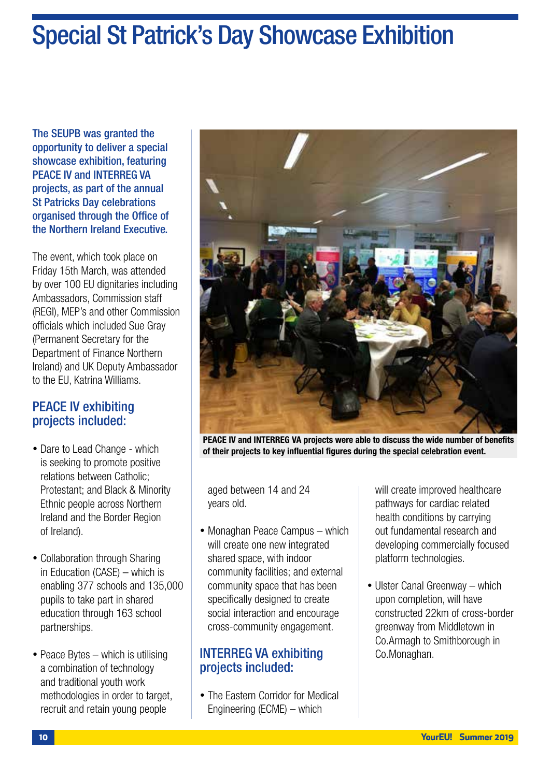## Special St Patrick's Day Showcase Exhibition

The SEUPB was granted the opportunity to deliver a special showcase exhibition, featuring PEACE IV and INTERREG VA projects, as part of the annual St Patricks Day celebrations organised through the Office of the Northern Ireland Executive.

The event, which took place on Friday 15th March, was attended by over 100 EU dignitaries including Ambassadors, Commission staff (REGI), MEP's and other Commission officials which included Sue Gray (Permanent Secretary for the Department of Finance Northern Ireland) and UK Deputy Ambassador to the EU, Katrina Williams.

#### PEACE IV exhibiting projects included:

- Dare to Lead Change which is seeking to promote positive relations between Catholic; Protestant; and Black & Minority Ethnic people across Northern Ireland and the Border Region of Ireland).
- Collaboration through Sharing in Education (CASE) – which is enabling 377 schools and 135,000 pupils to take part in shared education through 163 school partnerships.
- Peace Bytes which is utilising a combination of technology and traditional youth work methodologies in order to target, recruit and retain young people



PEACE IV and INTERREG VA projects were able to discuss the wide number of benefits of their projects to key influential figures during the special celebration event.

aged between 14 and 24 years old.

• Monaghan Peace Campus – which will create one new integrated shared space, with indoor community facilities; and external community space that has been specifically designed to create social interaction and encourage cross-community engagement.

#### INTERREG VA exhibiting projects included:

• The Eastern Corridor for Medical Engineering (ECME) – which

will create improved healthcare pathways for cardiac related health conditions by carrying out fundamental research and developing commercially focused platform technologies.

• Ulster Canal Greenway – which upon completion, will have constructed 22km of cross-border greenway from Middletown in Co.Armagh to Smithborough in Co.Monaghan.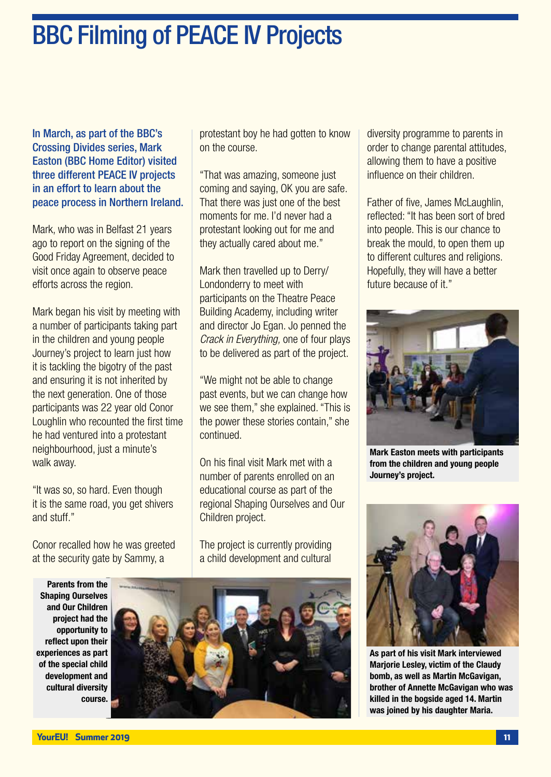In March, as part of the BBC's Crossing Divides series, Mark Easton (BBC Home Editor) visited three different PEACE IV projects in an effort to learn about the peace process in Northern Ireland.

Mark, who was in Belfast 21 years ago to report on the signing of the Good Friday Agreement, decided to visit once again to observe peace efforts across the region.

Mark began his visit by meeting with a number of participants taking part in the children and young people Journey's project to learn just how it is tackling the bigotry of the past and ensuring it is not inherited by the next generation. One of those participants was 22 year old Conor Loughlin who recounted the first time he had ventured into a protestant neighbourhood, just a minute's walk away.

"It was so, so hard. Even though it is the same road, you get shivers and stuff."

Conor recalled how he was greeted at the security gate by Sammy, a

protestant boy he had gotten to know on the course.

"That was amazing, someone just coming and saying, OK you are safe. That there was just one of the best moments for me. I'd never had a protestant looking out for me and they actually cared about me."

Mark then travelled up to Derry/ Londonderry to meet with participants on the Theatre Peace Building Academy, including writer and director Jo Egan. Jo penned the *Crack in Everything,* one of four plays to be delivered as part of the project.

"We might not be able to change past events, but we can change how we see them," she explained. "This is the power these stories contain," she continued.

On his final visit Mark met with a number of parents enrolled on an educational course as part of the regional Shaping Ourselves and Our Children project.

The project is currently providing a child development and cultural

Parents from the Shaping Ourselves and Our Children project had the opportunity to reflect upon their experiences as part of the special child development and cultural diversity course.



diversity programme to parents in order to change parental attitudes, allowing them to have a positive influence on their children.

Father of five, James McLaughlin, reflected: "It has been sort of bred into people. This is our chance to break the mould, to open them up to different cultures and religions. Hopefully, they will have a better future because of it."



Mark Easton meets with participants from the children and young people Journey's project.



As part of his visit Mark interviewed Marjorie Lesley, victim of the Claudy bomb, as well as Martin McGavigan, brother of Annette McGavigan who was killed in the bogside aged 14. Martin was joined by his daughter Maria.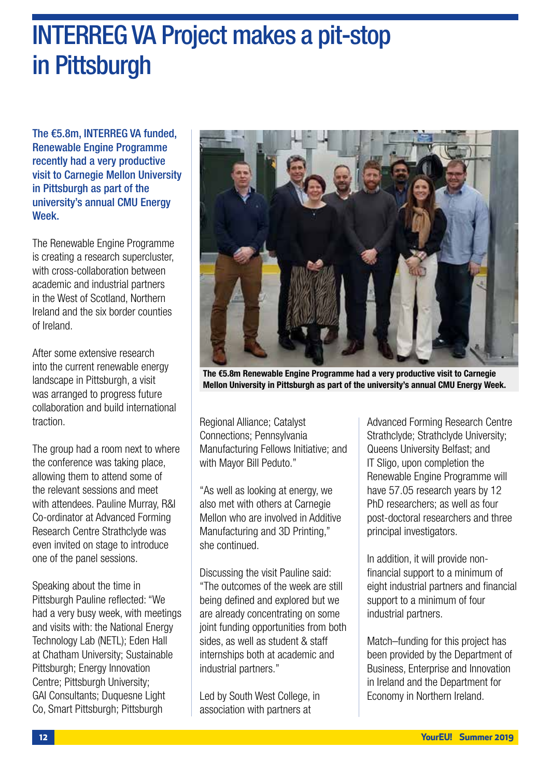## INTERREG VA Project makes a pit-stop in Pittsburgh

The €5.8m, INTERREG VA funded, Renewable Engine Programme recently had a very productive visit to Carnegie Mellon University in Pittsburgh as part of the university's annual CMU Energy Week.

The Renewable Engine Programme is creating a research supercluster, with cross-collaboration between academic and industrial partners in the West of Scotland, Northern Ireland and the six border counties of Ireland.

After some extensive research into the current renewable energy landscape in Pittsburgh, a visit was arranged to progress future collaboration and build international traction.

The group had a room next to where the conference was taking place, allowing them to attend some of the relevant sessions and meet with attendees. Pauline Murray, R&I Co-ordinator at Advanced Forming Research Centre Strathclyde was even invited on stage to introduce one of the panel sessions.

Speaking about the time in Pittsburgh Pauline reflected: "We had a very busy week, with meetings and visits with: the National Energy Technology Lab (NETL); Eden Hall at Chatham University; Sustainable Pittsburgh; Energy Innovation Centre; Pittsburgh University; GAI Consultants; Duquesne Light Co, Smart Pittsburgh; Pittsburgh



The €5.8m Renewable Engine Programme had a very productive visit to Carnegie Mellon University in Pittsburgh as part of the university's annual CMU Energy Week.

Regional Alliance; Catalyst Connections; Pennsylvania Manufacturing Fellows Initiative; and with Mayor Bill Peduto."

"As well as looking at energy, we also met with others at Carnegie Mellon who are involved in Additive Manufacturing and 3D Printing," she continued.

Discussing the visit Pauline said: "The outcomes of the week are still being defined and explored but we are already concentrating on some joint funding opportunities from both sides, as well as student & staff internships both at academic and industrial partners."

Led by South West College, in association with partners at

Advanced Forming Research Centre Strathclyde; Strathclyde University; Queens University Belfast; and IT Sligo, upon completion the Renewable Engine Programme will have 57.05 research years by 12 PhD researchers; as well as four post-doctoral researchers and three principal investigators.

In addition, it will provide nonfinancial support to a minimum of eight industrial partners and financial support to a minimum of four industrial partners.

Match–funding for this project has been provided by the Department of Business, Enterprise and Innovation in Ireland and the Department for Economy in Northern Ireland.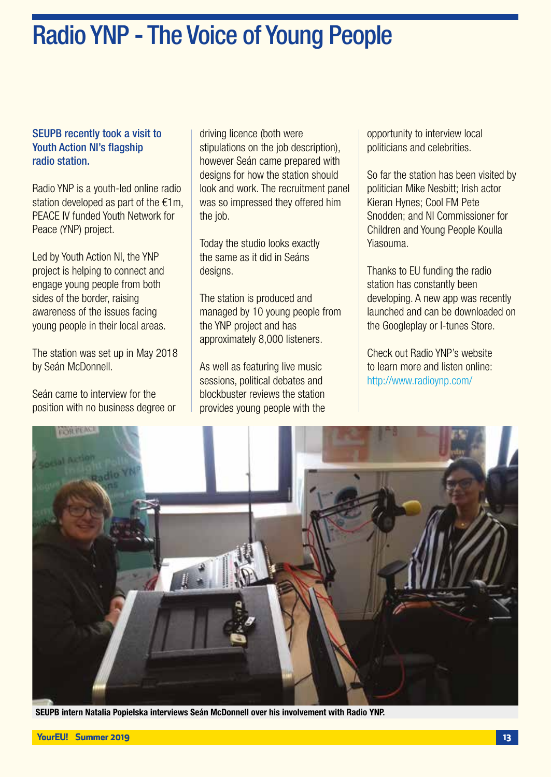## Radio YNP - The Voice of Young People

#### SEUPB recently took a visit to Youth Action NI's flagship radio station.

Radio YNP is a youth-led online radio station developed as part of the €1m, PEACE IV funded Youth Network for Peace (YNP) project.

Led by Youth Action NI, the YNP project is helping to connect and engage young people from both sides of the border, raising awareness of the issues facing young people in their local areas.

The station was set up in May 2018 by Seán McDonnell.

Seán came to interview for the position with no business degree or driving licence (both were stipulations on the job description), however Seán came prepared with designs for how the station should look and work. The recruitment panel was so impressed they offered him the job.

Today the studio looks exactly the same as it did in Seáns designs.

The station is produced and managed by 10 young people from the YNP project and has approximately 8,000 listeners.

As well as featuring live music sessions, political debates and blockbuster reviews the station provides young people with the opportunity to interview local politicians and celebrities.

So far the station has been visited by politician Mike Nesbitt; Irish actor Kieran Hynes; Cool FM Pete Snodden; and NI Commissioner for Children and Young People Koulla Yiasouma.

Thanks to EU funding the radio station has constantly been developing. A new app was recently launched and can be downloaded on the Googleplay or I-tunes Store.

Check out Radio YNP's website to learn more and listen online: http://www.radioynp.com/



SEUPB intern Natalia Popielska interviews Seán McDonnell over his involvement with Radio YNP.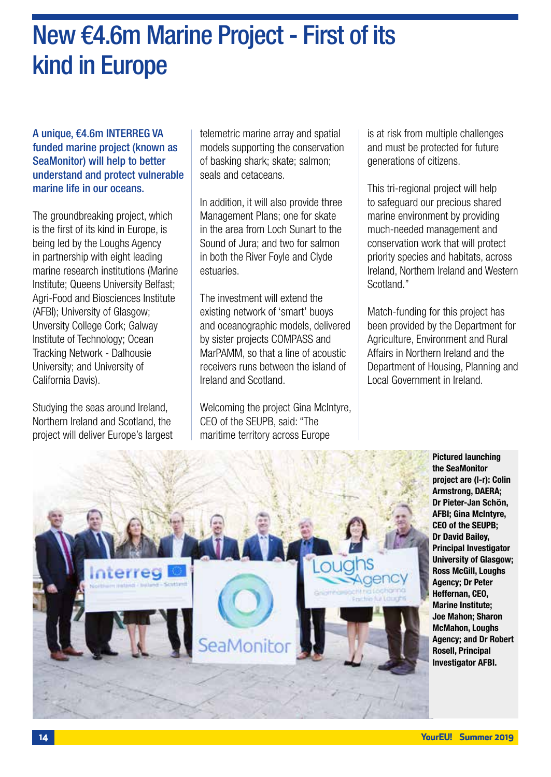## New €4.6m Marine Project - First of its kind in Europe

A unique, €4.6m INTERREG VA funded marine project (known as SeaMonitor) will help to better understand and protect vulnerable marine life in our oceans.

The groundbreaking project, which is the first of its kind in Europe, is being led by the Loughs Agency in partnership with eight leading marine research institutions (Marine Institute; Queens University Belfast; Agri-Food and Biosciences Institute (AFBI); University of Glasgow; Unversity College Cork; Galway Institute of Technology; Ocean Tracking Network - Dalhousie University; and University of California Davis).

Studying the seas around Ireland, Northern Ireland and Scotland, the project will deliver Europe's largest

telemetric marine array and spatial models supporting the conservation of basking shark; skate; salmon; seals and cetaceans.

In addition, it will also provide three Management Plans; one for skate in the area from Loch Sunart to the Sound of Jura; and two for salmon in both the River Foyle and Clyde estuaries.

The investment will extend the existing network of 'smart' buoys and oceanographic models, delivered by sister projects COMPASS and MarPAMM, so that a line of acoustic receivers runs between the island of Ireland and Scotland.

Welcoming the project Gina McIntyre. CEO of the SEUPB, said: "The maritime territory across Europe

is at risk from multiple challenges and must be protected for future generations of citizens.

This tri-regional project will help to safeguard our precious shared marine environment by providing much-needed management and conservation work that will protect priority species and habitats, across Ireland, Northern Ireland and Western Scotland."

Match-funding for this project has been provided by the Department for Agriculture, Environment and Rural Affairs in Northern Ireland and the Department of Housing, Planning and Local Government in Ireland.



Pictured launching the SeaMonitor project are (l-r): Colin Armstrong, DAERA; Dr Pieter-Jan Sch**ӧ**n, AFBI; Gina McIntyre, CEO of the SEUPB; Dr David Bailey, Principal Investigator University of Glasgow; Ross McGill, Loughs Agency; Dr Peter Heffernan, CEO, Marine Institute; Joe Mahon; Sharon McMahon, Loughs Agency; and Dr Robert Rosell, Principal Investigator AFBI.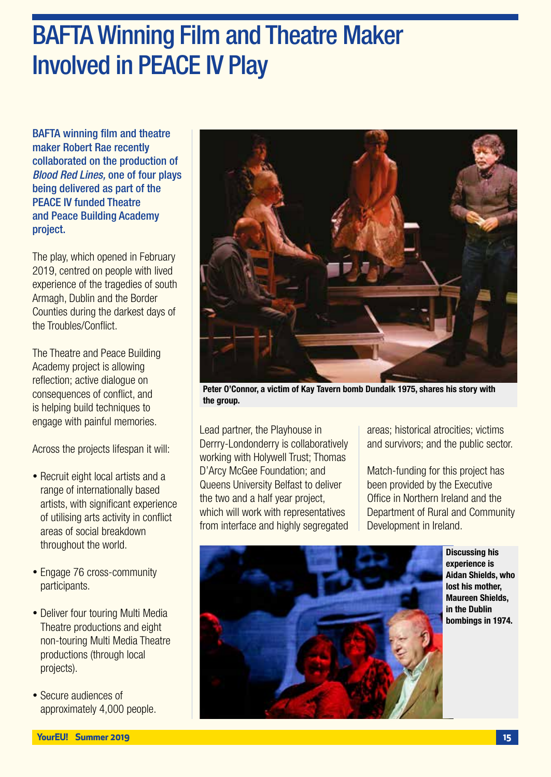## BAFTA Winning Film and Theatre Maker Involved in PEACE IV Play

BAFTA winning film and theatre maker Robert Rae recently collaborated on the production of *Blood Red Lines,* one of four plays being delivered as part of the PEACE IV funded Theatre and Peace Building Academy project.

The play, which opened in February 2019, centred on people with lived experience of the tragedies of south Armagh, Dublin and the Border Counties during the darkest days of the Troubles/Conflict.

The Theatre and Peace Building Academy project is allowing reflection; active dialogue on consequences of conflict, and is helping build techniques to engage with painful memories.

Across the projects lifespan it will:

- Recruit eight local artists and a range of internationally based artists, with significant experience of utilising arts activity in conflict areas of social breakdown throughout the world.
- Engage 76 cross-community participants.
- Deliver four touring Multi Media Theatre productions and eight non-touring Multi Media Theatre productions (through local projects).
- Secure audiences of approximately 4,000 people.



Peter O'Connor, a victim of Kay Tavern bomb Dundalk 1975, shares his story with the group.

Lead partner, the Playhouse in Derrry-Londonderry is collaboratively working with Holywell Trust; Thomas D'Arcy McGee Foundation; and Queens University Belfast to deliver the two and a half year project, which will work with representatives from interface and highly segregated

areas; historical atrocities; victims and survivors; and the public sector.

Match-funding for this project has been provided by the Executive Office in Northern Ireland and the Department of Rural and Community Development in Ireland.



Discussing his experience is Aidan Shields, who lost his mother, Maureen Shields, in the Dublin bombings in 1974.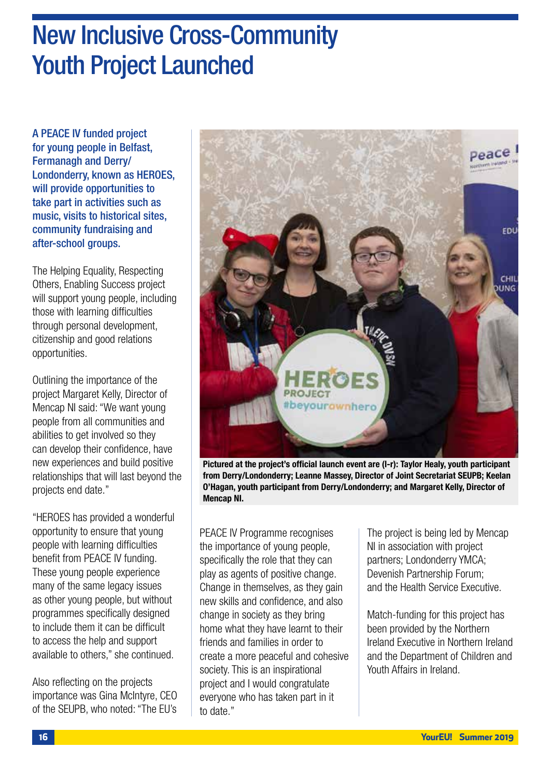## New Inclusive Cross-Community Youth Project Launched

A PEACE IV funded project for young people in Belfast, Fermanagh and Derry/ Londonderry, known as HEROES, will provide opportunities to take part in activities such as music, visits to historical sites, community fundraising and after-school groups.

The Helping Equality, Respecting Others, Enabling Success project will support young people, including those with learning difficulties through personal development, citizenship and good relations opportunities.

Outlining the importance of the project Margaret Kelly, Director of Mencap NI said: "We want young people from all communities and abilities to get involved so they can develop their confidence, have new experiences and build positive relationships that will last beyond the projects end date."

"HEROES has provided a wonderful opportunity to ensure that young people with learning difficulties benefit from PEACE IV funding. These young people experience many of the same legacy issues as other young people, but without programmes specifically designed to include them it can be difficult to access the help and support available to others," she continued.

Also reflecting on the projects importance was Gina McIntyre, CEO of the SEUPB, who noted: "The EU's



Pictured at the project's official launch event are (l-r): Taylor Healy, youth participant from Derry/Londonderry; Leanne Massey, Director of Joint Secretariat SEUPB; Keelan O'Hagan, youth participant from Derry/Londonderry; and Margaret Kelly, Director of Mencap NI.

PEACE IV Programme recognises the importance of young people, specifically the role that they can play as agents of positive change. Change in themselves, as they gain new skills and confidence, and also change in society as they bring home what they have learnt to their friends and families in order to create a more peaceful and cohesive society. This is an inspirational project and I would congratulate everyone who has taken part in it to date."

The project is being led by Mencap NI in association with project partners; Londonderry YMCA; Devenish Partnership Forum; and the Health Service Executive.

Match-funding for this project has been provided by the Northern Ireland Executive in Northern Ireland and the Department of Children and Youth Affairs in Ireland.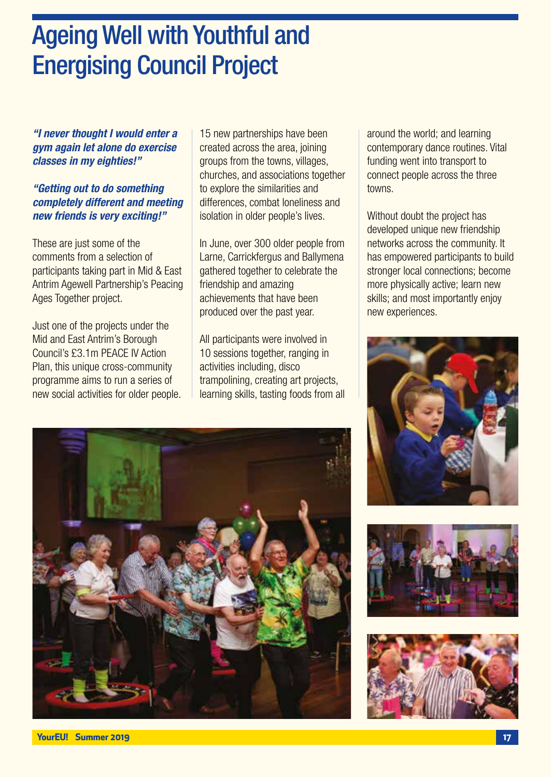## Ageing Well with Youthful and Energising Council Project

*"I never thought I would enter a gym again let alone do exercise classes in my eighties!"*

#### *"Getting out to do something completely different and meeting new friends is very exciting!"*

These are just some of the comments from a selection of participants taking part in Mid & East Antrim Agewell Partnership's Peacing Ages Together project.

Just one of the projects under the Mid and East Antrim's Borough Council's £3.1m PEACE IV Action Plan, this unique cross-community programme aims to run a series of new social activities for older people. 15 new partnerships have been created across the area, joining groups from the towns, villages, churches, and associations together to explore the similarities and differences, combat loneliness and isolation in older people's lives.

In June, over 300 older people from Larne, Carrickfergus and Ballymena gathered together to celebrate the friendship and amazing achievements that have been produced over the past year.

All participants were involved in 10 sessions together, ranging in activities including, disco trampolining, creating art projects, learning skills, tasting foods from all around the world; and learning contemporary dance routines. Vital funding went into transport to connect people across the three towns.

Without doubt the project has developed unique new friendship networks across the community. It has empowered participants to build stronger local connections; become more physically active; learn new skills; and most importantly enjoy new experiences.







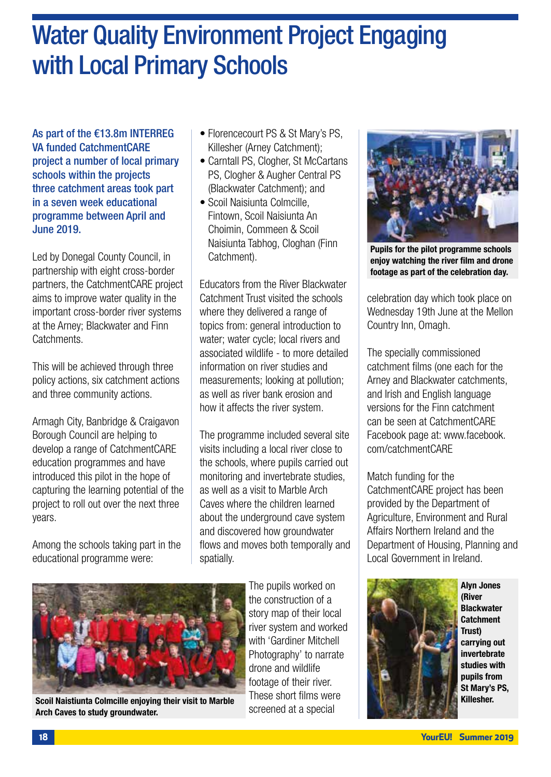## Water Quality Environment Project Engaging with Local Primary Schools

As part of the €13.8m INTERREG VA funded CatchmentCARE project a number of local primary schools within the projects three catchment areas took part in a seven week educational programme between April and June 2019.

Led by Donegal County Council, in partnership with eight cross-border partners, the CatchmentCARE project aims to improve water quality in the important cross-border river systems at the Arney; Blackwater and Finn **Catchments** 

This will be achieved through three policy actions, six catchment actions and three community actions.

Armagh City, Banbridge & Craigavon Borough Council are helping to develop a range of CatchmentCARE education programmes and have introduced this pilot in the hope of capturing the learning potential of the project to roll out over the next three years.

Among the schools taking part in the educational programme were:

- Florencecourt PS & St Mary's PS. Killesher (Arney Catchment);
- Carntall PS, Clogher, St McCartans PS, Clogher & Augher Central PS (Blackwater Catchment); and
- Scoil Naisiunta Colmcille, Fintown, Scoil Naisiunta An Choimin, Commeen & Scoil Naisiunta Tabhog, Cloghan (Finn Catchment).

Educators from the River Blackwater Catchment Trust visited the schools where they delivered a range of topics from: general introduction to water; water cycle; local rivers and associated wildlife - to more detailed information on river studies and measurements; looking at pollution; as well as river bank erosion and how it affects the river system.

The programme included several site visits including a local river close to the schools, where pupils carried out monitoring and invertebrate studies, as well as a visit to Marble Arch Caves where the children learned about the underground cave system and discovered how groundwater flows and moves both temporally and spatially.



Scoil Naistiunta Colmcille enjoying their visit to Marble Arch Caves to study groundwater.

The pupils worked on the construction of a story map of their local river system and worked with 'Gardiner Mitchell Photography' to narrate drone and wildlife footage of their river. These short films were screened at a special



Pupils for the pilot programme schools enjoy watching the river film and drone footage as part of the celebration day.

celebration day which took place on Wednesday 19th June at the Mellon Country Inn, Omagh.

The specially commissioned catchment films (one each for the Arney and Blackwater catchments, and Irish and English language versions for the Finn catchment can be seen at CatchmentCARE Facebook page at: www.facebook. com/catchmentCARE

Match funding for the CatchmentCARE project has been provided by the Department of Agriculture, Environment and Rural Affairs Northern Ireland and the Department of Housing, Planning and Local Government in Ireland.



Alyn Jones (River **Blackwater Catchment** Trust) carrying out invertebrate studies with pupils from St Mary's PS, Killesher.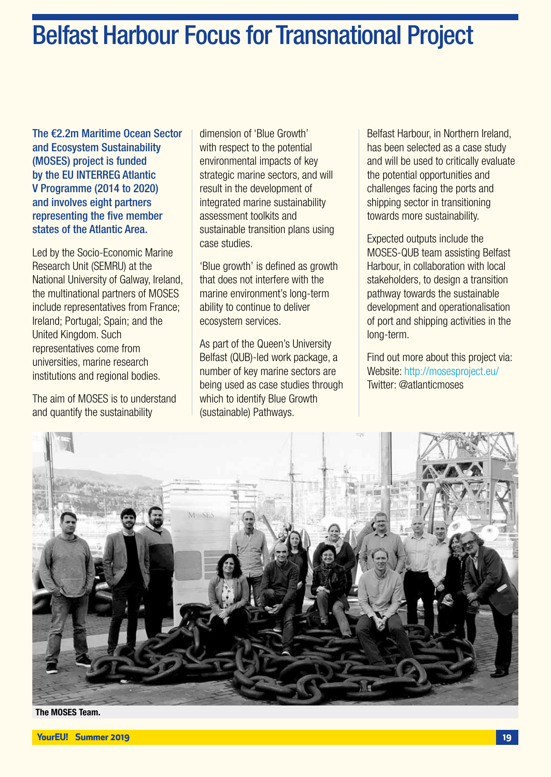## Belfast Harbour Focus for Transnational Project

The €2.2m Maritime Ocean Sector and Ecosystem Sustainability (MOSES) project is funded by the EU INTERREG Atlantic V Programme (2014 to 2020) and involves eight partners representing the five member states of the Atlantic Area.

Led by the Socio-Economic Marine Research Unit (SEMRU) at the National University of Galway, Ireland, the multinational partners of MOSES include representatives from France; Ireland; Portugal; Spain; and the United Kingdom. Such representatives come from universities, marine research institutions and regional bodies.

The aim of MOSES is to understand and quantify the sustainability

dimension of 'Blue Growth' with respect to the potential environmental impacts of key strategic marine sectors, and will result in the development of integrated marine sustainability assessment toolkits and sustainable transition plans using case studies.

'Blue growth' is defined as growth that does not interfere with the marine environment's long-term ability to continue to deliver ecosystem services.

As part of the Queen's University Belfast (QUB)-led work package, a number of key marine sectors are being used as case studies through which to identify Blue Growth (sustainable) Pathways.

Belfast Harbour, in Northern Ireland, has been selected as a case study and will be used to critically evaluate the potential opportunities and challenges facing the ports and shipping sector in transitioning towards more sustainability.

Expected outputs include the MOSES-QUB team assisting Belfast Harbour, in collaboration with local stakeholders, to design a transition pathway towards the sustainable development and operationalisation of port and shipping activities in the long-term.

Find out more about this project via: Website: http://mosesproject.eu/ Twitter: @atlanticmoses



The MOSES Team.